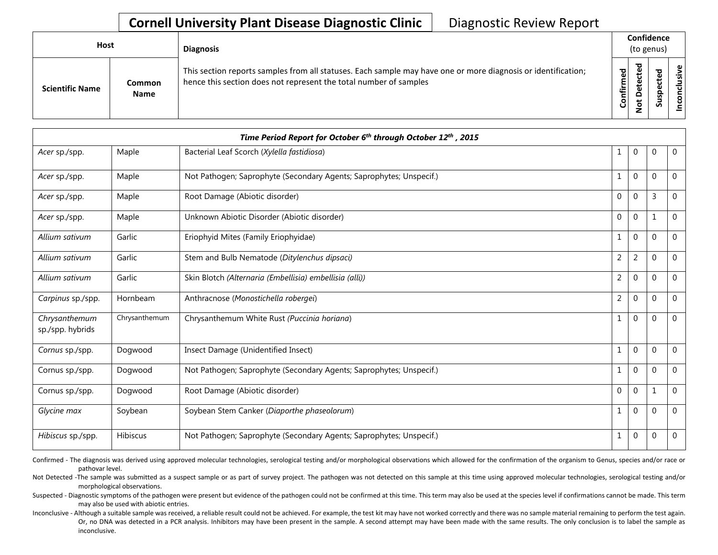## **Cornell University Plant Disease Diagnostic Clinic** | Diagnostic Review Report

| Host                   |                       | <b>Diagnosis</b>                                                                                                                                                                   |           |              |        | Confidence<br>(to genus) |  |  |  |  |
|------------------------|-----------------------|------------------------------------------------------------------------------------------------------------------------------------------------------------------------------------|-----------|--------------|--------|--------------------------|--|--|--|--|
| <b>Scientific Name</b> | Common<br><b>Name</b> | This section reports samples from all statuses. Each sample may have one or more diagnosis or identification;<br>hence this section does not represent the total number of samples | Confirmed | ᇃ<br>≏<br>سە | š<br>n | usive<br>ಕ<br>⊂<br>g     |  |  |  |  |

|                                   |               | Time Period Report for October 6 <sup>th</sup> through October 12 <sup>th</sup> , 2015 |                |              |          |                |
|-----------------------------------|---------------|----------------------------------------------------------------------------------------|----------------|--------------|----------|----------------|
| Acer sp./spp.                     | Maple         | Bacterial Leaf Scorch (Xylella fastidiosa)                                             | 1              | $\mathbf 0$  | 0        | $\mathbf{0}$   |
| Acer sp./spp.                     | Maple         | Not Pathogen; Saprophyte (Secondary Agents; Saprophytes; Unspecif.)                    |                | $\mathbf 0$  | $\Omega$ | $\mathbf 0$    |
| Acer sp./spp.                     | Maple         | Root Damage (Abiotic disorder)                                                         | 0              | $\mathbf 0$  | 3        | $\mathbf{0}$   |
| Acer sp./spp.                     | Maple         | Unknown Abiotic Disorder (Abiotic disorder)                                            | $\Omega$       | $\mathbf{0}$ |          | $\Omega$       |
| Allium sativum                    | Garlic        | Eriophyid Mites (Family Eriophyidae)                                                   | 1              | $\mathbf 0$  | 0        | $\mathbf{0}$   |
| Allium sativum                    | Garlic        | Stem and Bulb Nematode (Ditylenchus dipsaci)                                           | 2              | 2            | $\Omega$ | $\mathbf 0$    |
| Allium sativum                    | Garlic        | Skin Blotch (Alternaria (Embellisia) embellisia (alli))                                | 2              | 0            | $\Omega$ | $\mathbf 0$    |
| Carpinus sp./spp.                 | Hornbeam      | Anthracnose (Monostichella robergei)                                                   | $\overline{2}$ | 0            | $\Omega$ | 0              |
| Chrysanthemum<br>sp./spp. hybrids | Chrysanthemum | Chrysanthemum White Rust (Puccinia horiana)                                            | 1              | $\mathbf 0$  | 0        | $\Omega$       |
| Cornus sp./spp.                   | Dogwood       | Insect Damage (Unidentified Insect)                                                    | 1              | 0            | 0        | $\mathbf 0$    |
| Cornus sp./spp.                   | Dogwood       | Not Pathogen; Saprophyte (Secondary Agents; Saprophytes; Unspecif.)                    | 1              | 0            | $\Omega$ | $\Omega$       |
| Cornus sp./spp.                   | Dogwood       | Root Damage (Abiotic disorder)                                                         | $\mathbf{0}$   | $\mathbf 0$  |          | $\overline{0}$ |
| Glycine max                       | Soybean       | Soybean Stem Canker (Diaporthe phaseolorum)                                            | 1              | 0            | $\Omega$ | $\mathbf 0$    |
| Hibiscus sp./spp.                 | Hibiscus      | Not Pathogen; Saprophyte (Secondary Agents; Saprophytes; Unspecif.)                    | 1              | 0            | 0        | $\mathbf 0$    |

Confirmed - The diagnosis was derived using approved molecular technologies, serological testing and/or morphological observations which allowed for the confirmation of the organism to Genus, species and/or race or pathovar level.

Not Detected -The sample was submitted as a suspect sample or as part of survey project. The pathogen was not detected on this sample at this time using approved molecular technologies, serological testing and/or morphological observations.

Suspected - Diagnostic symptoms of the pathogen were present but evidence of the pathogen could not be confirmed at this time. This term may also be used at the species level if confirmations cannot be made. This term may also be used with abiotic entries.

Inconclusive - Although a suitable sample was received, a reliable result could not be achieved. For example, the test kit may have not worked correctly and there was no sample material remaining to perform the test again. Or, no DNA was detected in a PCR analysis. Inhibitors may have been present in the sample. A second attempt may have been made with the same results. The only conclusion is to label the sample as inconclusive.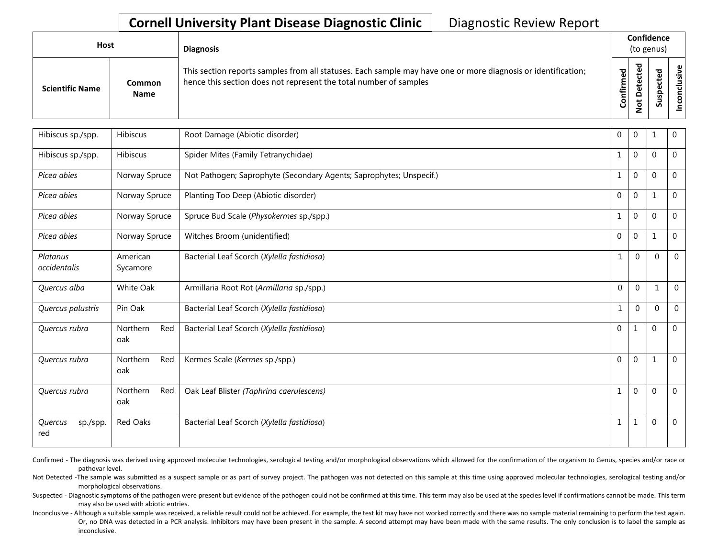## **Cornell University Plant Disease Diagnostic Clinic** | Diagnostic Review Report

| Host<br>Common         |             | <b>Diagnosis</b>                                                                                                                                                                   |                       | Confidence<br>(to genus) |                         |                            |
|------------------------|-------------|------------------------------------------------------------------------------------------------------------------------------------------------------------------------------------|-----------------------|--------------------------|-------------------------|----------------------------|
| <b>Scientific Name</b> | <b>Name</b> | This section reports samples from all statuses. Each sample may have one or more diagnosis or identification;<br>hence this section does not represent the total number of samples | უ<br>მ<br>nfirm<br>පි | ≏                        | ъ<br>$\omega$<br>요<br>w | ု ပ<br>់ទី<br>$\circ$<br>Ō |

| Hibiscus sp./spp.          | Hibiscus               | Root Damage (Abiotic disorder)                                      | $\mathbf 0$      | 0            | $\mathbf{1}$     | 0              |
|----------------------------|------------------------|---------------------------------------------------------------------|------------------|--------------|------------------|----------------|
| Hibiscus sp./spp.          | Hibiscus               | Spider Mites (Family Tetranychidae)                                 | 1                | $\mathbf 0$  | $\mathbf 0$      | $\mathbf 0$    |
| Picea abies                | Norway Spruce          | Not Pathogen; Saprophyte (Secondary Agents; Saprophytes; Unspecif.) | $\mathbf{1}$     | $\mathbf 0$  | $\mathbf{0}$     | 0              |
| Picea abies                | Norway Spruce          | Planting Too Deep (Abiotic disorder)                                | $\mathbf{0}$     | $\mathbf 0$  | $\mathbf{1}$     | $\overline{0}$ |
| Picea abies                | Norway Spruce          | Spruce Bud Scale (Physokermes sp./spp.)                             | 1                | 0            | $\boldsymbol{0}$ | $\overline{0}$ |
| Picea abies                | Norway Spruce          | Witches Broom (unidentified)                                        | $\boldsymbol{0}$ | 0            | $\mathbf 1$      | $\overline{0}$ |
| Platanus<br>occidentalis   | American<br>Sycamore   | Bacterial Leaf Scorch (Xylella fastidiosa)                          | 1                | $\mathbf{0}$ | $\mathbf{0}$     | $\mathbf{0}$   |
| Quercus alba               | White Oak              | Armillaria Root Rot (Armillaria sp./spp.)                           | $\mathbf 0$      | $\mathbf 0$  | $\mathbf{1}$     | $\mathbf{0}$   |
| Quercus palustris          | Pin Oak                | Bacterial Leaf Scorch (Xylella fastidiosa)                          | $\mathbf{1}$     | $\mathbf{0}$ | $\Omega$         | $\mathbf 0$    |
| Quercus rubra              | Northern<br>Red<br>oak | Bacterial Leaf Scorch (Xylella fastidiosa)                          | $\mathbf 0$      | $\mathbf{1}$ | $\mathbf 0$      | $\mathbf 0$    |
| Quercus rubra              | Northern<br>Red<br>oak | Kermes Scale (Kermes sp./spp.)                                      | $\mathbf{0}$     | 0            | 1                | $\mathbf 0$    |
| Quercus rubra              | Northern<br>Red<br>oak | Oak Leaf Blister (Taphrina caerulescens)                            | $\mathbf{1}$     | $\mathbf 0$  | $\mathbf 0$      | $\overline{0}$ |
| Quercus<br>sp./spp.<br>red | Red Oaks               | Bacterial Leaf Scorch (Xylella fastidiosa)                          | $\mathbf{1}$     | 1            | $\mathbf 0$      | $\mathbf 0$    |

Confirmed - The diagnosis was derived using approved molecular technologies, serological testing and/or morphological observations which allowed for the confirmation of the organism to Genus, species and/or race or pathovar level.

Not Detected -The sample was submitted as a suspect sample or as part of survey project. The pathogen was not detected on this sample at this time using approved molecular technologies, serological testing and/or morphological observations.

Suspected - Diagnostic symptoms of the pathogen were present but evidence of the pathogen could not be confirmed at this time. This term may also be used at the species level if confirmations cannot be made. This term may also be used with abiotic entries.

Inconclusive - Although a suitable sample was received, a reliable result could not be achieved. For example, the test kit may have not worked correctly and there was no sample material remaining to perform the test again. Or, no DNA was detected in a PCR analysis. Inhibitors may have been present in the sample. A second attempt may have been made with the same results. The only conclusion is to label the sample as inconclusive.